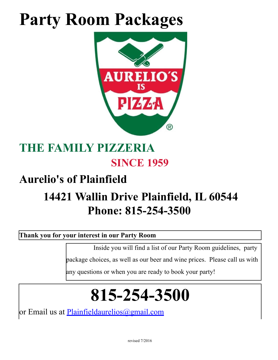# **Party Room Packages**



## **THE FAMILY PIZZERIA SINCE 1959**

## **Aurelio's of Plainfield**

## **14421 Wallin Drive Plainfield, IL 60544 Phone: 815-254-3500**

### **Thank you for your interest in our Party Room**

Inside you will find a list of our Party Room guidelines, party

package choices, as well as our beer and wine prices. Please call us with

any questions or when you are ready to book your party!

# **815-254-3500**

or Email us at *Plainfieldaurelios@gmail.com*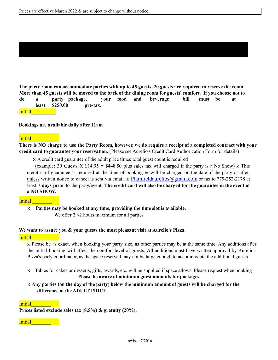The party room can accommodate parties with up to 45 guests, 20 guests are required to reserve the room. More than 45 guests will be moved to the back of the dining room for guests' comfort. If you choose not to **do a party package, your food and beverage bill must be at least \$250.00 pre-tax**. Initial**\_\_\_\_\_\_\_\_\_\_**

#### **Bookings are available daily after 11am**

#### Initial

There is NO charge to use the Party Room, however, we do require a receipt of a completed contract with your **credit card to guarantee your reservation.** (Please see Aurelio's Credit Card Authorization Form for details)

x A credit card guarantee of the adult price times total guest count is required

(example: 30 Guests X  $$14.95 = $448.50$  plus sales tax will charged if the party is a No Show) x This credit card guarantee is required at the time of booking & will be charged on the date of the party or after, unless written notice to cancel is sent via email to Plainfieldaurelios@gmail.com or fax to 779-252-2178 at least 7 days prior to the party/event. The credit card will also be charged for the guarantee in the event of **a NO SHOW.**

#### **Initial**

x **Parties may be booked at any time, providing the time slot is available.**

We offer  $2<sup>1</sup>/2$  hours maximum for all parties

#### **We want to assure you & your guests the most pleasant visit at Aurelio's Pizza.**

#### **Initial**

x Please be as exact, when booking your party size, as other parties may be at the same time. Any additions after the initial booking will affect the comfort level of guests. All additions must have written approval by Aurelio's Pizza's party coordinator, as the space reserved may not be large enough to accommodate the additional guests.

- x Tables for cakes or desserts, gifts, awards, etc. will be supplied if space allows. Please request when booking **Please be aware of minimum guest amounts for packages.**
- $\times$  Any parties (on the day of the party) below the minimum amount of guests will be charged for the **difference at the ADULT PRICE.**

#### Initial

**Prices listed exclude sales tax (8.5%) & gratuity (20%).**

Initial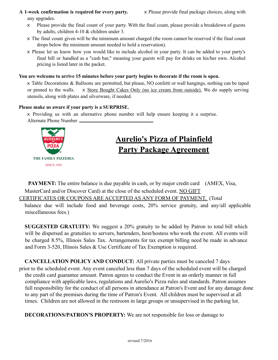**A 1-week confirmation is required for every party.** x Please provide final package choices, along with any upgrades.

- x Please provide the final count of your party. With the final count, please provide a breakdown of guests by adults, children 4-10 & children under 3.
- x The final count given will be the minimum amount charged (the room cannot be reserved if the final count drops below the minimum amount needed to hold a reservation).
- x Please let us know how you would like to include alcohol in your party. It can be added to your party's final bill or handled as a "cash bar," meaning your guests will pay for drinks on his/her own. Alcohol pricing is listed later in the packet.

#### **You are welcome to arrive 15 minutes before your party begins to decorate if the room is open.**

x Table Decorations & Balloons are permitted, but please, NO confetti or wall hangings, nothing can be taped or pinned to the walls. x Store Bought Cakes Only (no ice cream from outside). We do supply serving utensils, along with plates and silverware, if needed.

### **Please make us aware if your party is a SURPRISE.**

x Providing us with an alternative phone number will help ensure keeping it a surprise. Alternate Phone Number



### **Aurelio's Pizza of Plainfield Party Package Agreement**

**PAYMENT:** The entire balance is due payable in cash, or by major credit card (AMEX, Visa, MasterCard and/or Discover Card) at the close of the scheduled event. NO GIFT

CERTIFICATES OR COUPONS ARE ACCEPTED AS ANY FORM OF PAYMENT. (Total

balance due will include food and beverage costs, 20% service gratuity, and any/all applicable miscellaneous fees.)

**SUGGESTED GRATUITY:** We suggest a 20% gratuity to be added by Patron to total bill which will be dispersed as gratuities to servers, bartenders, host/hostess who work the event. All events will be charged 8.5%, Illinois Sales Tax. Arrangements for tax exempt billing need be made in advance and Form 3-520, Illinois Sales & Use Certificate of Tax Exemption is required.

**CANCELLATION POLICY AND CONDUCT:** All private parties must be canceled 7 days prior to the scheduled event. Any event canceled less than 7 days of the scheduled event will be charged the credit card guarantee amount. Patron agrees to conduct the Event in an orderly manner in full compliance with applicable laws, regulations and Aurelio's Pizza rules and standards. Patron assumes full responsibility for the conduct of all persons in attendance at Patron's Event and for any damage done to any part of the premises during the time of Patron's Event. All children must be supervised at all times. Children are not allowed in the restroom in large groups or unsupervised in the parking lot.

**DECORATIONS/PATRON'S PROPERTY:** We are not responsible for loss or damage to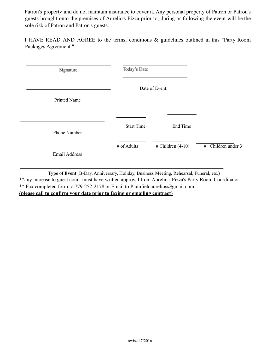Patron's property and do not maintain insurance to cover it. Any personal property of Patron or Patron's guests brought onto the premises of Aurelio's Pizza prior to, during or following the event will be the sole risk of Patron and Patron's guests.

I HAVE READ AND AGREE to the terms, conditions & guidelines outlined in this "Party Room Packages Agreement."

| Signature            | Today's Date<br>Date of Event: |                     |                      |
|----------------------|--------------------------------|---------------------|----------------------|
|                      |                                |                     |                      |
| Printed Name         |                                |                     |                      |
|                      |                                |                     |                      |
| Phone Number         | <b>Start Time</b>              | End Time            |                      |
| <b>Email Address</b> | # of Adults                    | $# Children (4-10)$ | $#$ Children under 3 |

L.

**Type of Event** (B-Day, Anniversary, Holiday, Business Meeting, Rehearsal, Funeral, etc.) \*\*any increase to guest count must have written approval from Aurelio's Pizza's Party Room Coordinator \*\* Fax completed form to 779-252-2178 or Email to Plainfieldaurelios@gmail.com **(please call to confirm your date prior to faxing or emailing contract)**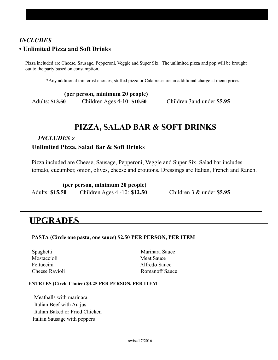### *INCLUDES* **• Unlimited Pizza and Soft Drinks**

Pizza included are Cheese, Sausage, Pepperoni, Veggie and Super Six. The unlimited pizza and pop will be brought out to the party based on consumption.

\*Any additional thin crust choices, stuffed pizza or Calabrese are an additional charge at menu prices.

|                        | (per person, minimum 20 people) |
|------------------------|---------------------------------|
| <b>Adults: \$13.50</b> | Children Ages $4-10$ : \$10.50  |

### **PIZZA, SALAD BAR & SOFT DRINKS**

### *INCLUDES* x

### **Unlimited Pizza, Salad Bar & Soft Drinks**

Pizza included are Cheese, Sausage, Pepperoni, Veggie and Super Six. Salad bar includes tomato, cucumber, onion, olives, cheese and croutons. Dressings are Italian, French and Ranch.

|                        | (per person, minimum 20 people)  |
|------------------------|----------------------------------|
| <b>Adults: \$15.50</b> | Children Ages $4 - 10$ : \$12.50 |

Adults: **\$15.50** Children Ages 4 -10: **\$12.50** Children 3 & under **\$5.95**

Adults: **\$13.50** *-*Children Ages 4-10: **\$10.50** *-*Children 3and under **\$5.95**

### **UPGRADES**

### **PASTA (Circle one pasta, one sauce) \$2.50 PER PERSON, PER ITEM**

Mostaccioli Meat Sauce Fettuccini Alfredo Sauce

Spaghetti Marinara Sauce Cheese Ravioli Romanoff Sauce

#### **ENTREES (Circle Choice) \$3.25 PER PERSON, PER ITEM**

Meatballs with marinara Italian Beef with Au jus Italian Baked or Fried Chicken Italian Sausage with peppers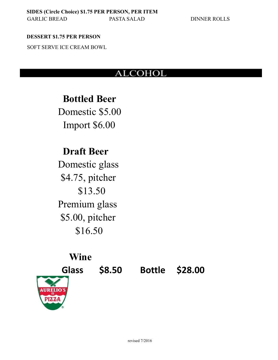### **DESSERT \$1.75 PER PERSON**

SOFT SERVE ICE CREAM BOWL

### ALCOHOL

**Bottled Beer** Domestic \$5.00 Import \$6.00

### **Draft Beer**

Domestic glass \$4.75, pitcher \$13.50 Premium glass \$5.00, pitcher \$16.50

### **Wine**



**Glass \$8.50 Bottle \$28.00**